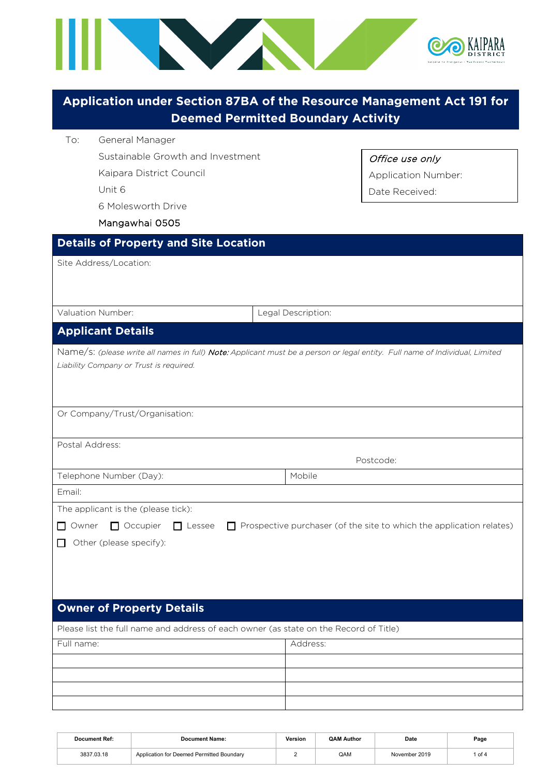

|                                                                                                                          | Application under Section 87BA of the Resource Management Act 191 for<br><b>Deemed Permitted Boundary Activity</b>                       |
|--------------------------------------------------------------------------------------------------------------------------|------------------------------------------------------------------------------------------------------------------------------------------|
| General Manager<br>To:<br>Sustainable Growth and Investment<br>Kaipara District Council<br>Unit 6<br>6 Molesworth Drive  | Office use only<br><b>Application Number:</b><br>Date Received:                                                                          |
| Mangawhai 0505                                                                                                           |                                                                                                                                          |
| <b>Details of Property and Site Location</b>                                                                             |                                                                                                                                          |
| Site Address/Location:                                                                                                   |                                                                                                                                          |
| Valuation Number:                                                                                                        | Legal Description:                                                                                                                       |
| <b>Applicant Details</b>                                                                                                 |                                                                                                                                          |
| Liability Company or Trust is required.<br>Or Company/Trust/Organisation:<br>Postal Address:                             | Name/s: (please write all names in full) Note: Applicant must be a person or legal entity. Full name of Individual, Limited<br>Postcode: |
| Telephone Number (Day):                                                                                                  | Mobile                                                                                                                                   |
| Email:                                                                                                                   |                                                                                                                                          |
| The applicant is the (please tick):<br>$\Box$ Occupier<br>$\Box$ Lessee<br>$\Box$ Owner<br>Other (please specify):<br>LΙ | $\Box$ Prospective purchaser (of the site to which the application relates)                                                              |
| <b>Owner of Property Details</b>                                                                                         |                                                                                                                                          |
| Please list the full name and address of each owner (as state on the Record of Title)                                    |                                                                                                                                          |
| Full name:                                                                                                               | Address:                                                                                                                                 |
|                                                                                                                          |                                                                                                                                          |
|                                                                                                                          |                                                                                                                                          |
|                                                                                                                          |                                                                                                                                          |

| Document Ref: | <b>Document Name:</b>                     | Version | <b>QAM Author</b> | Date          | Page |
|---------------|-------------------------------------------|---------|-------------------|---------------|------|
| 3837.03.18    | Application for Deemed Permitted Boundary |         | QAM               | November 2019 | of 4 |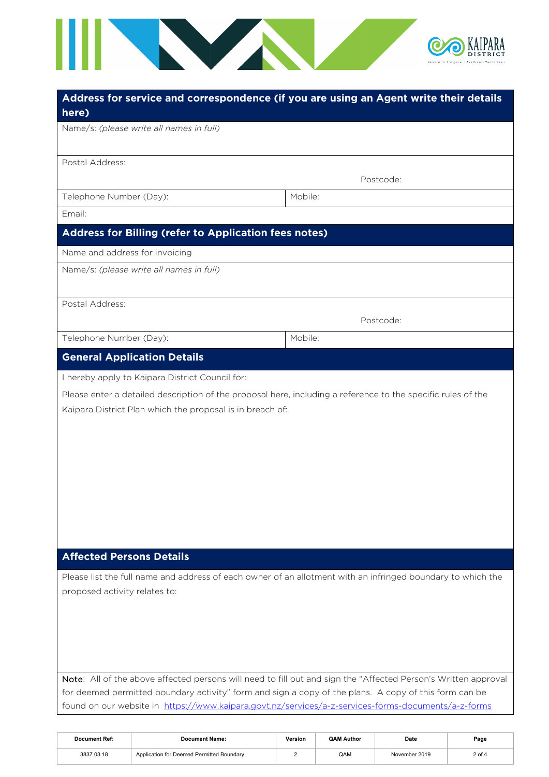

| here)                                                                                                                                                                                                        | Address for service and correspondence (if you are using an Agent write their details                          |
|--------------------------------------------------------------------------------------------------------------------------------------------------------------------------------------------------------------|----------------------------------------------------------------------------------------------------------------|
| Name/s: (please write all names in full)                                                                                                                                                                     |                                                                                                                |
| Postal Address:                                                                                                                                                                                              |                                                                                                                |
|                                                                                                                                                                                                              | Postcode:                                                                                                      |
| Telephone Number (Day):                                                                                                                                                                                      | Mobile:                                                                                                        |
| Email:                                                                                                                                                                                                       |                                                                                                                |
| Address for Billing (refer to Application fees notes)                                                                                                                                                        |                                                                                                                |
| Name and address for invoicing                                                                                                                                                                               |                                                                                                                |
| Name/s: (please write all names in full)                                                                                                                                                                     |                                                                                                                |
| Postal Address:                                                                                                                                                                                              |                                                                                                                |
|                                                                                                                                                                                                              | Postcode:                                                                                                      |
| Telephone Number (Day):                                                                                                                                                                                      | Mobile:                                                                                                        |
| <b>General Application Details</b>                                                                                                                                                                           |                                                                                                                |
| I hereby apply to Kaipara District Council for:                                                                                                                                                              |                                                                                                                |
| Please enter a detailed description of the proposal here, including a reference to the specific rules of the<br>Kaipara District Plan which the proposal is in breach of:                                    |                                                                                                                |
|                                                                                                                                                                                                              |                                                                                                                |
| <b>Affected Persons Details</b>                                                                                                                                                                              |                                                                                                                |
|                                                                                                                                                                                                              | Please list the full name and address of each owner of an allotment with an infringed boundary to which the    |
| proposed activity relates to:                                                                                                                                                                                |                                                                                                                |
|                                                                                                                                                                                                              |                                                                                                                |
| for deemed permitted boundary activity" form and sign a copy of the plans. A copy of this form can be<br>found on our website in https://www.kaipara.govt.nz/services/a-z-services-forms-documents/a-z-forms | Note: All of the above affected persons will need to fill out and sign the "Affected Person's Written approval |

| Document Ref: | <b>Document Name:</b>                     | Version | <b>QAM Author</b> | Date          | Page     |
|---------------|-------------------------------------------|---------|-------------------|---------------|----------|
| 3837.03.18    | Application for Deemed Permitted Boundary |         | QAM               | November 2019 | $2$ of 4 |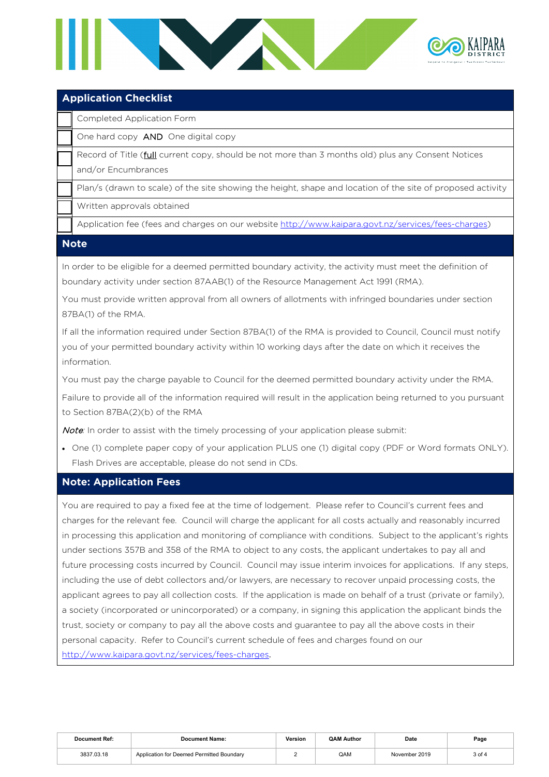

## **Application Checklist**

Completed Application Form

One hard copy AND One digital copy

Record of Title (*full* current copy, should be not more than 3 months old) plus any Consent Notices and/or Encumbrances

Plan/s (drawn to scale) of the site showing the height, shape and location of the site of proposed activity

Written approvals obtained

Application fee (fees and charges on our website [http://www.kaipara.govt.nz/services/fees-charges\)](http://www.kaipara.govt.nz/services/fees-charges)

#### **Note**

In order to be eligible for a deemed permitted boundary activity, the activity must meet the definition of boundary activity under section 87AAB(1) of the Resource Management Act 1991 (RMA).

You must provide written approval from all owners of allotments with infringed boundaries under section 87BA(1) of the RMA.

If all the information required under Section 87BA(1) of the RMA is provided to Council, Council must notify you of your permitted boundary activity within 10 working days after the date on which it receives the information.

You must pay the charge payable to Council for the deemed permitted boundary activity under the RMA.

Failure to provide all of the information required will result in the application being returned to you pursuant to Section 87BA(2)(b) of the RMA

Note: In order to assist with the timely processing of your application please submit:

• One (1) complete paper copy of your application PLUS one (1) digital copy (PDF or Word formats ONLY). Flash Drives are acceptable, please do not send in CDs.

### **Note: Application Fees**

You are required to pay a fixed fee at the time of lodgement. Please refer to Council's current fees and charges for the relevant fee. Council will charge the applicant for all costs actually and reasonably incurred in processing this application and monitoring of compliance with conditions. Subject to the applicant's rights under sections 357B and 358 of the RMA to object to any costs, the applicant undertakes to pay all and future processing costs incurred by Council. Council may issue interim invoices for applications. If any steps, including the use of debt collectors and/or lawyers, are necessary to recover unpaid processing costs, the applicant agrees to pay all collection costs. If the application is made on behalf of a trust (private or family), a society (incorporated or unincorporated) or a company, in signing this application the applicant binds the trust, society or company to pay all the above costs and guarantee to pay all the above costs in their personal capacity. Refer to Council's current schedule of fees and charges found on our <http://www.kaipara.govt.nz/services/fees-charges>.

| <b>Document Ref:</b> | <b>Document Name:</b>                     | Version | <b>QAM Author</b> | Date          | Page   |
|----------------------|-------------------------------------------|---------|-------------------|---------------|--------|
| 3837.03.18           | Application for Deemed Permitted Boundary |         | QAM               | November 2019 | 3 of 4 |